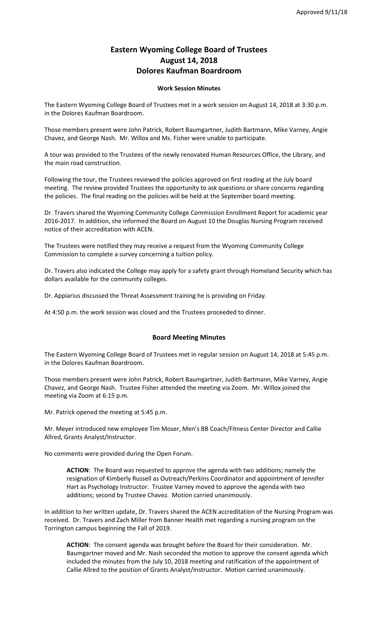## **Eastern Wyoming College Board of Trustees August 14, 2018 Dolores Kaufman Boardroom**

## **Work Session Minutes**

The Eastern Wyoming College Board of Trustees met in a work session on August 14, 2018 at 3:30 p.m. in the Dolores Kaufman Boardroom.

Those members present were John Patrick, Robert Baumgartner, Judith Bartmann, Mike Varney, Angie Chavez, and George Nash. Mr. Willox and Ms. Fisher were unable to participate.

A tour was provided to the Trustees of the newly renovated Human Resources Office, the Library, and the main road construction.

Following the tour, the Trustees reviewed the policies approved on first reading at the July board meeting. The review provided Trustees the opportunity to ask questions or share concerns regarding the policies. The final reading on the policies will be held at the September board meeting.

Dr. Travers shared the Wyoming Community College Commission Enrollment Report for academic year 2016-2017. In addition, she informed the Board on August 10 the Douglas Nursing Program received notice of their accreditation with ACEN.

The Trustees were notified they may receive a request from the Wyoming Community College Commission to complete a survey concerning a tuition policy.

Dr. Travers also indicated the College may apply for a safety grant through Homeland Security which has dollars available for the community colleges.

Dr. Appiarius discussed the Threat Assessment training he is providing on Friday.

At 4:50 p.m. the work session was closed and the Trustees proceeded to dinner.

## **Board Meeting Minutes**

The Eastern Wyoming College Board of Trustees met in regular session on August 14, 2018 at 5:45 p.m. in the Dolores Kaufman Boardroom.

Those members present were John Patrick, Robert Baumgartner, Judith Bartmann, Mike Varney, Angie Chavez, and George Nash. Trustee Fisher attended the meeting via Zoom. Mr. Willox joined the meeting via Zoom at 6:15 p.m.

Mr. Patrick opened the meeting at 5:45 p.m.

Mr. Meyer introduced new employee Tim Moser, Men's BB Coach/Fitness Center Director and Callie Allred, Grants Analyst/Instructor.

No comments were provided during the Open Forum.

**ACTION**: The Board was requested to approve the agenda with two additions; namely the resignation of Kimberly Russell as Outreach/Perkins Coordinator and appointment of Jennifer Hart as Psychology Instructor. Trustee Varney moved to approve the agenda with two additions; second by Trustee Chavez. Motion carried unanimously.

In addition to her written update, Dr. Travers shared the ACEN accreditation of the Nursing Program was received. Dr. Travers and Zach Miller from Banner Health met regarding a nursing program on the Torrington campus beginning the Fall of 2019.

**ACTION**: The consent agenda was brought before the Board for their consideration. Mr. Baumgartner moved and Mr. Nash seconded the motion to approve the consent agenda which included the minutes from the July 10, 2018 meeting and ratification of the appointment of Callie Allred to the position of Grants Analyst/Instructor. Motion carried unanimously.